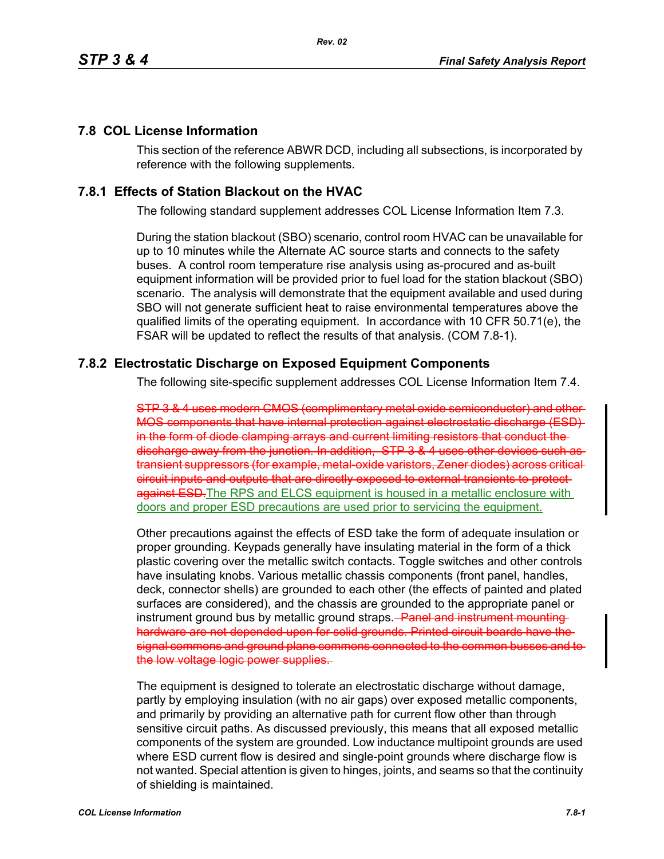## **7.8 COL License Information**

This section of the reference ABWR DCD, including all subsections, is incorporated by reference with the following supplements.

## **7.8.1 Effects of Station Blackout on the HVAC**

The following standard supplement addresses COL License Information Item 7.3.

During the station blackout (SBO) scenario, control room HVAC can be unavailable for up to 10 minutes while the Alternate AC source starts and connects to the safety buses. A control room temperature rise analysis using as-procured and as-built equipment information will be provided prior to fuel load for the station blackout (SBO) scenario. The analysis will demonstrate that the equipment available and used during SBO will not generate sufficient heat to raise environmental temperatures above the qualified limits of the operating equipment. In accordance with 10 CFR 50.71(e), the FSAR will be updated to reflect the results of that analysis. (COM 7.8-1).

## **7.8.2 Electrostatic Discharge on Exposed Equipment Components**

The following site-specific supplement addresses COL License Information Item 7.4.

STP 3 & 4 uses modern CMOS (complimentary metal oxide semiconductor) and other MOS components that have internal protection against electrostatic discharge (ESD) in the form of diode clamping arrays and current limiting resistors that conduct the discharge away from the junction. In addition, STP 3 & 4 uses other devices such as transient suppressors (for example, metal-oxide varistors, Zener diodes) across critical circuit inputs and outputs that are directly exposed to external transients to protect against ESD-The RPS and ELCS equipment is housed in a metallic enclosure with doors and proper ESD precautions are used prior to servicing the equipment.

Other precautions against the effects of ESD take the form of adequate insulation or proper grounding. Keypads generally have insulating material in the form of a thick plastic covering over the metallic switch contacts. Toggle switches and other controls have insulating knobs. Various metallic chassis components (front panel, handles, deck, connector shells) are grounded to each other (the effects of painted and plated surfaces are considered), and the chassis are grounded to the appropriate panel or instrument ground bus by metallic ground straps.<del> Panel and instrument mounting</del> hardware are not depended upon for solid grounds. Printed circuit boards have the signal commons and ground plane commons connected to the common busses and to the low voltage logic power supplies.

The equipment is designed to tolerate an electrostatic discharge without damage, partly by employing insulation (with no air gaps) over exposed metallic components, and primarily by providing an alternative path for current flow other than through sensitive circuit paths. As discussed previously, this means that all exposed metallic components of the system are grounded. Low inductance multipoint grounds are used where ESD current flow is desired and single-point grounds where discharge flow is not wanted. Special attention is given to hinges, joints, and seams so that the continuity of shielding is maintained.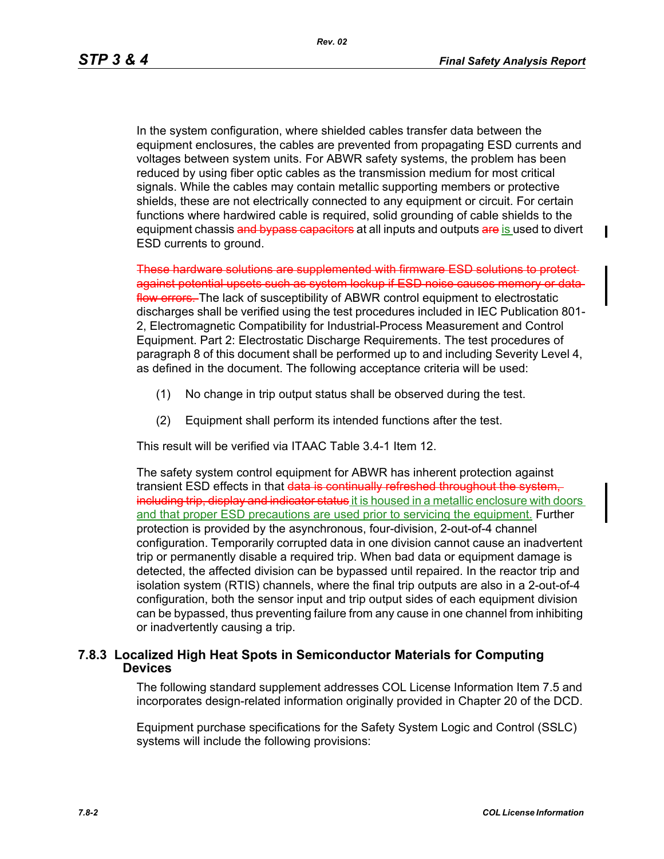П

In the system configuration, where shielded cables transfer data between the equipment enclosures, the cables are prevented from propagating ESD currents and voltages between system units. For ABWR safety systems, the problem has been reduced by using fiber optic cables as the transmission medium for most critical signals. While the cables may contain metallic supporting members or protective shields, these are not electrically connected to any equipment or circuit. For certain functions where hardwired cable is required, solid grounding of cable shields to the equipment chassis and bypass capacitors at all inputs and outputs are is used to divert ESD currents to ground.

These hardware solutions are supplemented with firmware ESD solutions to protect against potential upsets such as system lockup if ESD noise causes memory or data flow errors. The lack of susceptibility of ABWR control equipment to electrostatic discharges shall be verified using the test procedures included in IEC Publication 801- 2, Electromagnetic Compatibility for Industrial-Process Measurement and Control Equipment. Part 2: Electrostatic Discharge Requirements. The test procedures of paragraph 8 of this document shall be performed up to and including Severity Level 4, as defined in the document. The following acceptance criteria will be used:

- (1) No change in trip output status shall be observed during the test.
- (2) Equipment shall perform its intended functions after the test.

This result will be verified via ITAAC Table 3.4-1 Item 12.

The safety system control equipment for ABWR has inherent protection against transient ESD effects in that data is continually refreshed throughout the system, including trip, display and indicator status it is housed in a metallic enclosure with doors and that proper ESD precautions are used prior to servicing the equipment. Further protection is provided by the asynchronous, four-division, 2-out-of-4 channel configuration. Temporarily corrupted data in one division cannot cause an inadvertent trip or permanently disable a required trip. When bad data or equipment damage is detected, the affected division can be bypassed until repaired. In the reactor trip and isolation system (RTIS) channels, where the final trip outputs are also in a 2-out-of-4 configuration, both the sensor input and trip output sides of each equipment division can be bypassed, thus preventing failure from any cause in one channel from inhibiting or inadvertently causing a trip.

## **7.8.3 Localized High Heat Spots in Semiconductor Materials for Computing Devices**

The following standard supplement addresses COL License Information Item 7.5 and incorporates design-related information originally provided in Chapter 20 of the DCD.

Equipment purchase specifications for the Safety System Logic and Control (SSLC) systems will include the following provisions: